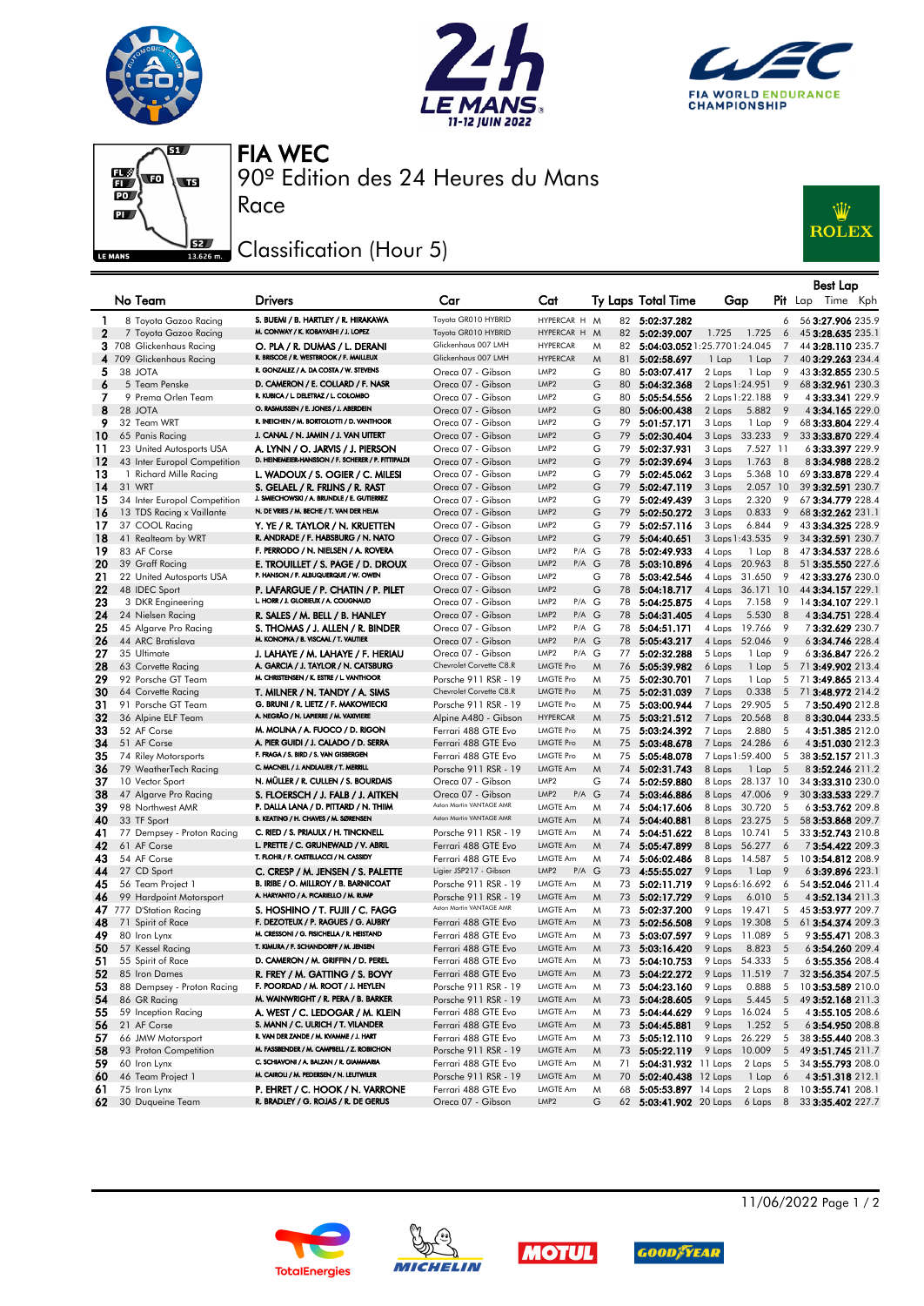







90º Edition des 24 Heures du Mans FIA WEC

## Classification (Hour 5)

Race



|              |                                               |                                                                                 |                                                  |                                                        |         |                                     |                                          |           | <b>Best Lap</b>                        |  |
|--------------|-----------------------------------------------|---------------------------------------------------------------------------------|--------------------------------------------------|--------------------------------------------------------|---------|-------------------------------------|------------------------------------------|-----------|----------------------------------------|--|
|              | No Team                                       | <b>Drivers</b>                                                                  | Car                                              | Cat                                                    |         | Ty Laps Total Time                  | Gap                                      |           | <b>Pit</b> Lap Time Kph                |  |
| 1            | 8 Toyota Gazoo Racing                         | S. BUEMI / B. HARTLEY / R. HIRAKAWA                                             | Toyota GR010 HYBRID                              | HYPERCAR H M                                           |         | 82 5:02:37.282                      |                                          | 6         | 56 3:27.906 235.9                      |  |
| $\mathbf{2}$ | 7 Toyota Gazoo Racing                         | M. CONWAY / K. KOBAYASHI / J. LOPEZ                                             | Toyota GR010 HYBRID                              | HYPERCAR H M                                           |         | 82<br>5:02:39.007                   | 1.725<br>1.725                           | 6         | 45 3:28.635 235.1                      |  |
|              | 3 708 Glickenhaus Racing                      | O. PLA / R. DUMAS / L. DERANI<br>R. BRISCOE / R. WESTBROOK / F. MAILLEUX        | Glickenhaus 007 LMH<br>Glickenhaus 007 LMH       | <b>HYPERCAR</b><br><b>HYPERCAR</b>                     | M       |                                     | 82 5:04:03.0521:25.7701:24.045           | 7         | 44 3:28.110 235.7                      |  |
| 5            | 4 709 Glickenhaus Racing<br>38 JOTA           | R. GONZALEZ / A. DA COSTA / W. STEVENS                                          | Oreca 07 - Gibson                                | LMP <sub>2</sub>                                       | M<br>G  | 81<br>5:02:58.697<br>80 5:03:07.417 | 1 Lap<br>1 Lap                           | 7         | 40 3:29.263 234.4<br>43 3:32.855 230.5 |  |
| 6            | 5 Team Penske                                 | D. CAMERON / E. COLLARD / F. NASR                                               | Oreca 07 - Gibson                                | LMP <sub>2</sub>                                       | G<br>80 | 5:04:32.368                         | 2 Laps<br>1 Lap<br>2 Laps 1:24.951       | 9<br>9    | 68 3:32.961 230.3                      |  |
| 7            | 9 Prema Orlen Team                            | R. KUBICA / L. DELETRAZ / L. COLOMBO                                            | Oreca 07 - Gibson                                | LMP <sub>2</sub>                                       | G       | 80 5:05:54.556                      | 2 Laps 1:22.188                          | 9         | 43:33.341 229.9                        |  |
| 8            | 28 JOTA                                       | O. RASMUSSEN / E. JONES / J. ABERDEIN                                           | Oreca 07 - Gibson                                | LMP <sub>2</sub>                                       | G       | 80<br>5:06:00.438                   | 2 Laps<br>5.882                          | 9         | 43:34.165 229.0                        |  |
| 9            | 32 Team WRT                                   | R. INEICHEN / M. BORTOLOTTI / D. VANTHOOR                                       | Oreca 07 - Gibson                                | LMP <sub>2</sub>                                       | G       | 79 5:01:57.171                      | 3 Laps<br>1 Lap                          | - 9       | 68 3:33.804 229.4                      |  |
| 10           | 65 Panis Racing                               | J. CANAL / N. JAMIN / J. VAN UITERT                                             | Oreca 07 - Gibson                                | LMP <sub>2</sub>                                       | G       | 79<br>5:02:30.404                   | 3 Laps<br>33.233                         | 9         | 33 3:33.870 229.4                      |  |
| 11           | 23 United Autosports USA                      | A. LYNN / O. JARVIS / J. PIERSON                                                | Oreca 07 - Gibson                                | LMP <sub>2</sub>                                       | G       | 79<br>5:02:37.931                   | 3 Laps<br>7.527 11                       |           | 63:33.397 229.9                        |  |
| 12           | 43 Inter Europol Competition                  | D. HEINEMEIER-HANSSON / F. SCHERER / P. FITTIPALDI                              | Oreca 07 - Gibson                                | LMP <sub>2</sub>                                       | G       | 79<br>5:02:39.694                   | 1.763<br>3 Laps                          | - 8       | 83:34.988 228.2                        |  |
| 13           | 1 Richard Mille Racing                        | L. WADOUX / S. OGIER / C. MILESI                                                | Oreca 07 - Gibson                                | LMP <sub>2</sub>                                       | G       | 79 5:02:45.062                      | 3 Laps<br>5.368 10                       |           | 69 3:33.878 229.4                      |  |
| 14           | 31 WRT                                        | S. GELAEL / R. FRIJNS / R. RAST                                                 | Oreca 07 - Gibson                                | LMP <sub>2</sub>                                       | G       | 79<br>5:02:47.119                   | 3 Laps<br>2.057 10                       |           | 39 3:32.591 230.7                      |  |
| 15           | 34 Inter Europol Competition                  | J. SMIECHOWSKI / A. BRUNDLE / E. GUTIERREZ                                      | Oreca 07 - Gibson                                | LMP <sub>2</sub>                                       | G       | 79 5:02:49.439                      | 2.320<br>3 Laps                          | 9         | 67 3:34.779 228.4                      |  |
| 16           | 13 TDS Racing x Vaillante                     | N. DE VRIES / M. BECHE / T. VAN DER HELM                                        | Oreca 07 - Gibson                                | LMP <sub>2</sub>                                       | G       | 79<br>5:02:50.272                   | 3 Laps<br>0.833                          | 9         | 68 3:32.262 231.1                      |  |
| 17           | 37 COOL Racing                                | Y. YE / R. TAYLOR / N. KRUETTEN                                                 | Oreca 07 - Gibson                                | LMP <sub>2</sub>                                       | G       | 79<br>5:02:57.116                   | 6.844<br>3 Laps                          | 9         | 43 3:34.325 228.9                      |  |
| 18           | 41 Realteam by WRT                            | R. ANDRADE / F. HABSBURG / N. NATO                                              | Oreca 07 - Gibson                                | LMP <sub>2</sub>                                       | G       | 79<br>5:04:40.651                   | 3 Laps 1:43.535                          | 9         | 34 3:32.591 230.7                      |  |
| 19           | 83 AF Corse                                   | F. PERRODO / N. NIELSEN / A. ROVERA                                             | Oreca 07 - Gibson                                | LMP <sub>2</sub><br>P/A G<br>LMP <sub>2</sub><br>P/A G |         | 78 5:02:49.933                      | 4 Laps<br>1 Lap                          | 8         | 47 3:34.537 228.6                      |  |
| 20<br>21     | 39 Graff Racing<br>22 United Autosports USA   | E. TROUILLET / S. PAGE / D. DROUX<br>P. HANSON / F. ALBUQUERQUE / W. OWEN       | Oreca 07 - Gibson<br>Oreca 07 - Gibson           | LMP <sub>2</sub>                                       | G       | 78 5:03:10.896<br>78 5:03:42.546    | 4 Laps<br>20.963<br>4 Laps 31.650        | 8<br>9    | 51 3:35.550 227.6<br>42 3:33.276 230.0 |  |
| 22           | 48 IDEC Sport                                 | P. LAFARGUE / P. CHATIN / P. PILET                                              | Oreca 07 - Gibson                                | LMP <sub>2</sub>                                       | G       | 78<br>5:04:18.717                   | 4 Laps<br>36.171 10                      |           | 44 3:34.157 229.1                      |  |
| 23           | 3 DKR Engineering                             | L. HORR / J. GLORIEUX / A. COUGNAUD                                             | Oreca 07 - Gibson                                | LMP <sub>2</sub><br>P/A G                              |         | 78 5:04:25.875                      | 4 Laps<br>7.158                          | 9         | 14 3:34.107 229.1                      |  |
| 24           | 24 Nielsen Racing                             | R. SALES / M. BELL / B. HANLEY                                                  | Oreca 07 - Gibson                                | P/A G<br>LMP <sub>2</sub>                              |         | 78 5:04:31.405                      | 4 Laps<br>5.530                          | 8         | 4 3:34.751 228.4                       |  |
| 25           | 45 Algarve Pro Racing                         | S. THOMAS / J. ALLEN / R. BINDER                                                | Oreca 07 - Gibson                                | LMP <sub>2</sub><br>P/A G                              |         | 78 5:04:51.171                      | 19.766<br>4 Laps                         | - 9       | 73:32.629 230.7                        |  |
| 26           | 44 ARC Bratislava                             | M. KONOPKA / B. VISCAAL / T. VAUTIER                                            | Oreca 07 - Gibson                                | LMP <sub>2</sub><br>P/A G                              |         | 78 5:05:43.217                      | 4 Laps<br>52.046                         | 9         | 63:34.746 228.4                        |  |
| 27           | 35 Ultimate                                   | J. LAHAYE / M. LAHAYE / F. HERIAU                                               | Oreca 07 - Gibson                                | LMP <sub>2</sub><br>P/A G                              |         | 77 5:02:32.288                      | 5 Laps<br>1 Lap                          | 9         | 63:36.847 226.2                        |  |
| 28           | 63 Corvette Racing                            | A. GARCIA / J. TAYLOR / N. CATSBURG                                             | Chevrolet Corvette C8.R                          | <b>LMGTE Pro</b>                                       | M       | 76 5:05:39.982                      | 6 Laps<br>1 Lap                          | 5         | 71 3:49.902 213.4                      |  |
| 29           | 92 Porsche GT Team                            | M. CHRISTENSEN / K. ESTRE / L. VANTHOOR                                         | Porsche 911 RSR - 19                             | <b>LMGTE Pro</b>                                       | M       | 75 5:02:30.701                      | 7 Laps<br>1 Lap                          | 5         | 71 3:49.865 213.4                      |  |
| 30           | 64 Corvette Racing                            | T. MILNER / N. TANDY / A. SIMS                                                  | Chevrolet Corvette C8.R                          | <b>LMGTE Pro</b>                                       | M       | 75<br>5:02:31.039                   | 7 Laps<br>0.338                          | 5         | 71 3:48.972 214.2                      |  |
| 31           | 91 Porsche GT Team                            | G. BRUNI / R. LIETZ / F. MAKOWIECKI                                             | Porsche 911 RSR - 19                             | <b>LMGTE Pro</b>                                       | M       | 75 5:03:00.944                      | 7 Laps 29.905                            | 5         | 73:50.490 212.8                        |  |
| 32           | 36 Alpine ELF Team                            | A. NEGRÃO / N. LAPIERRE / M. VAXIVIERE                                          | Alpine A480 - Gibson                             | <b>HYPERCAR</b>                                        | M       | 75 5:03:21.512                      | 7 Laps 20.568                            | 8         | 83:30.044 233.5                        |  |
| 33           | 52 AF Corse                                   | M. MOLINA / A. FUOCO / D. RIGON                                                 | Ferrari 488 GTE Evo                              | LMGTE Pro                                              | M       | 75 5:03:24.392                      | 2.880<br>7 Laps                          | 5         | 4 3:51.385 212.0                       |  |
| 34           | 51 AF Corse                                   | A. PIER GUIDI / J. CALADO / D. SERRA<br>F. FRAGA / S. BIRD / S. VAN GISBERGEN   | Ferrari 488 GTE Evo                              | <b>LMGTE Pro</b>                                       | M       | 75 5:03:48.678                      | 7 Laps 24.286                            | 6         | 43:51.030 212.3                        |  |
| 35<br>36     | 74 Riley Motorsports<br>79 WeatherTech Racing | C. MACNEIL / J. ANDLAUER / T. MERRILL                                           | Ferrari 488 GTE Evo                              | <b>LMGTE Pro</b><br>LMGTE Am                           | M<br>M  | 75 5:05:48.078                      | 7 Laps 1:59.400                          | -5        | 38 3:52.157 211.3                      |  |
| 37           | 10 Vector Sport                               | N. MÜLLER / R. CULLEN / S. BOURDAIS                                             | Porsche 911 RSR - 19<br>Oreca 07 - Gibson        | LMP <sub>2</sub>                                       | G       | 74<br>5:02:31.743<br>74 5:02:59.880 | 8 Laps<br>1 Lap<br>8 Laps 28.137 10      | -5        | 8 3:52.246 211.2<br>34 3:33.310 230.0  |  |
| 38           | 47 Algarve Pro Racing                         | S. FLOERSCH / J. FALB / J. AITKEN                                               | Oreca 07 - Gibson                                | LMP <sub>2</sub><br>P/A                                | G       | 5:03:46.886<br>74                   | 8 Laps 47.006                            | 9         | 30 3:33.533 229.7                      |  |
| 39           | 98 Northwest AMR                              | P. DALLA LANA / D. PITTARD / N. THIIM                                           | Aston Martin VANTAGE AMR                         | <b>LMGTE Am</b>                                        | M       | 74 5:04:17.606                      | 8 Laps 30.720                            | -5        | 63:53.762 209.8                        |  |
| 40           | 33 TF Sport                                   | B. KEATING / H. CHAVES / M. SØRENSEN                                            | Aston Martin VANTAGE AMR                         | LMGTE Am                                               | M       | 74<br>5:04:40.881                   | 8 Laps 23.275                            | 5         | 58 3:53.868 209.7                      |  |
| 41           | 77 Dempsey - Proton Racing                    | C. RIED / S. PRIAULX / H. TINCKNELL                                             | Porsche 911 RSR - 19                             | <b>LMGTE Am</b>                                        | M       | 74 5:04:51.622                      | 8 Laps 10.741                            | 5         | 33 3:52.743 210.8                      |  |
| 42           | 61 AF Corse                                   | L. PRETTE / C. GRUNEWALD / V. ABRIL                                             | Ferrari 488 GTE Evo                              | LMGTE Am                                               | M       | 5:05:47.899<br>74                   | 8 Laps 56.277                            | 6         | 73:54.422 209.3                        |  |
| 43           | 54 AF Corse                                   | T. FLOHR / F. CASTELLACCI / N. CASSIDY                                          | Ferrari 488 GTE Evo                              | <b>LMGTE Am</b>                                        | M       | 74 5:06:02.486                      | 8 Laps 14.587                            | 5         | 10 3:54.812 208.9                      |  |
| 44           | 27 CD Sport                                   | C. CRESP / M. JENSEN / S. PALETTE                                               | Ligier JSP217 - Gibson                           | LMP <sub>2</sub><br>P/A                                | G       | 73 4:55:55.027                      | 9 Laps<br>1 Lap                          | 9         | 63:39.896 223.1                        |  |
| 45           | 56 Team Project 1                             | B. IRIBE / O. MILLROY / B. BARNICOAT                                            | Porsche 911 RSR - 19                             | <b>LMGTE Am</b>                                        | M       | 73 5:02:11.719                      | 9 Laps6:16.692                           | 6         | 54 3:52.046 211.4                      |  |
| 46           | 99 Hardpoint Motorsport                       | A. HARYANTO / A. PICARIELLO / M. RUMP                                           | Porsche 911 RSR - 19<br>Aston Martin VANTAGE AMR | LMGTE Am                                               | M       | 73<br>5:02:17.729                   | 9 Laps<br>6.010                          | 5         | 4 3:52.134 211.3                       |  |
|              | 47 777 D'Station Racing                       | S. HOSHINO / T. FUJII / C. FAGG                                                 |                                                  | LMGTE Am                                               | M       | 73 5:02:37.200                      | 9 Laps 19.471                            | 5         | 45 3:53.977 209.7                      |  |
| 48<br>49     | 71 Spirit of Race                             | F. DEZOTEUX / P. RAGUES / G. AUBRY<br>M. CRESSONI / G. FISICHELLA / R. HEISTAND | Ferrari 488 GTE Evo<br>Ferrari 488 GTE Evo       | LMGTE Am<br><b>LMGTE Am</b>                            | M<br>M  | 73 5:02:56.508<br>73 5:03:07.597    | 9 Laps 19.308<br>9 Laps 11.089           | 5<br>$-5$ | 61 3:54.374 209.3<br>93:55.471 208.3   |  |
| 50           | 80 Iron Lynx<br>57 Kessel Racing              | T. KIMURA / F. SCHANDORFF / M. JENSEN                                           | Ferrari 488 GTE Evo                              | <b>LMGTE Am</b>                                        | M       | 73 5:03:16.420                      | 9 Laps 8.823 5                           |           | 63:54.260 209.4                        |  |
| 51           | 55 Spirit of Race                             | D. CAMERON / M. GRIFFIN / D. PEREL                                              | Ferrari 488 GTE Evo                              | LMGTE Am                                               | M       |                                     | 73 5:04:10.753 9 Laps 54.333 5           |           | 63:55.356 208.4                        |  |
| 52           | 85 Iron Dames                                 | R. FREY / M. GATTING / S. BOVY                                                  | Ferrari 488 GTE Evo                              | LMGTE Am                                               | M       | 73 5:04:22.272                      | 9 Laps 11.519 7 32 <b>3:56.354</b> 207.5 |           |                                        |  |
| 53           | 88 Dempsey - Proton Racing                    | F. POORDAD / M. ROOT / J. HEYLEN                                                | Porsche 911 RSR - 19                             | LMGTE Am                                               | M       | 73 5:04:23.160                      | 9 Laps<br>0.888 5                        |           | 10 3:53.589 210.0                      |  |
| 54           | 86 GR Racing                                  | M. WAINWRIGHT / R. PERA / B. BARKER                                             | Porsche 911 RSR - 19                             | LMGTE Am                                               | M       | 73<br>5:04:28.605                   | 9 Laps<br>5.445                          | $-5$      | 49 3:52.168 211.3                      |  |
| 55           | 59 Inception Racing                           | A. WEST / C. LEDOGAR / M. KLEIN                                                 | Ferrari 488 GTE Evo                              | LMGTE Am                                               | M       | 73 5:04:44.629                      | 9 Laps 16.024 5                          |           | 43:55.105 208.6                        |  |
| 56           | 21 AF Corse                                   | S. MANN / C. ULRICH / T. VILANDER                                               | Ferrari 488 GTE Evo                              | LMGTE Am                                               | M       | 73 5:04:45.881                      | 9 Laps<br>$1.252$ 5                      |           | 63:54.950 208.8                        |  |
| 57           | 66 JMW Motorsport                             | R. VAN DER ZANDE / M. KVAMME / J. HART                                          | Ferrari 488 GTE Evo                              | LMGTE Am                                               | M       | 73 5:05:12.110                      | 9 Laps 26.229 5                          |           | 38 3:55.440 208.3                      |  |
| 58           | 93 Proton Competition                         | M. FASSBENDER / M. CAMPBELL / Z. ROBICHON                                       | Porsche 911 RSR - 19                             | LMGTE Am                                               | M       | 73 5:05:22.119                      | 9 Laps 10.009                            | 5         | 49 3:51.745 211.7                      |  |
| 59           | 60 Iron Lynx                                  | C. SCHIAVONI / A. BALZAN / R. GIAMMARIA                                         | Ferrari 488 GTE Evo                              | LMGTE Am                                               | M       | 71 5:04:31.932 11 Laps              | 2 Laps 5                                 |           | 34 3:55.793 208.0                      |  |
| 60           | 46 Team Project 1                             | M. CAIROLI / M. PEDERSEN / N. LEUTWILER                                         | Porsche 911 RSR - 19                             | LMGTE Am                                               | M       | 70 5:02:40.438 12 Laps              | $1$ Lap 6                                |           | 43:51.318 212.1                        |  |
| 61           | 75 Iron Lynx                                  | P. EHRET / C. HOOK / N. VARRONE                                                 | Ferrari 488 GTE Evo                              | LMGTE Am                                               | M       | 68 5:05:53.897 14 Laps              | 2 Laps 8                                 |           | 10 3:55.741 208.1                      |  |
| 62           | 30 Duqueine Team                              | R. BRADLEY / G. ROJAS / R. DE GERUS                                             | Oreca 07 - Gibson                                | LMP2                                                   | G       |                                     | 62 5:03:41.902 20 Laps 6 Laps 8          |           | 33 3:35.402 227.7                      |  |









11/06/2022 Page 1 / 2